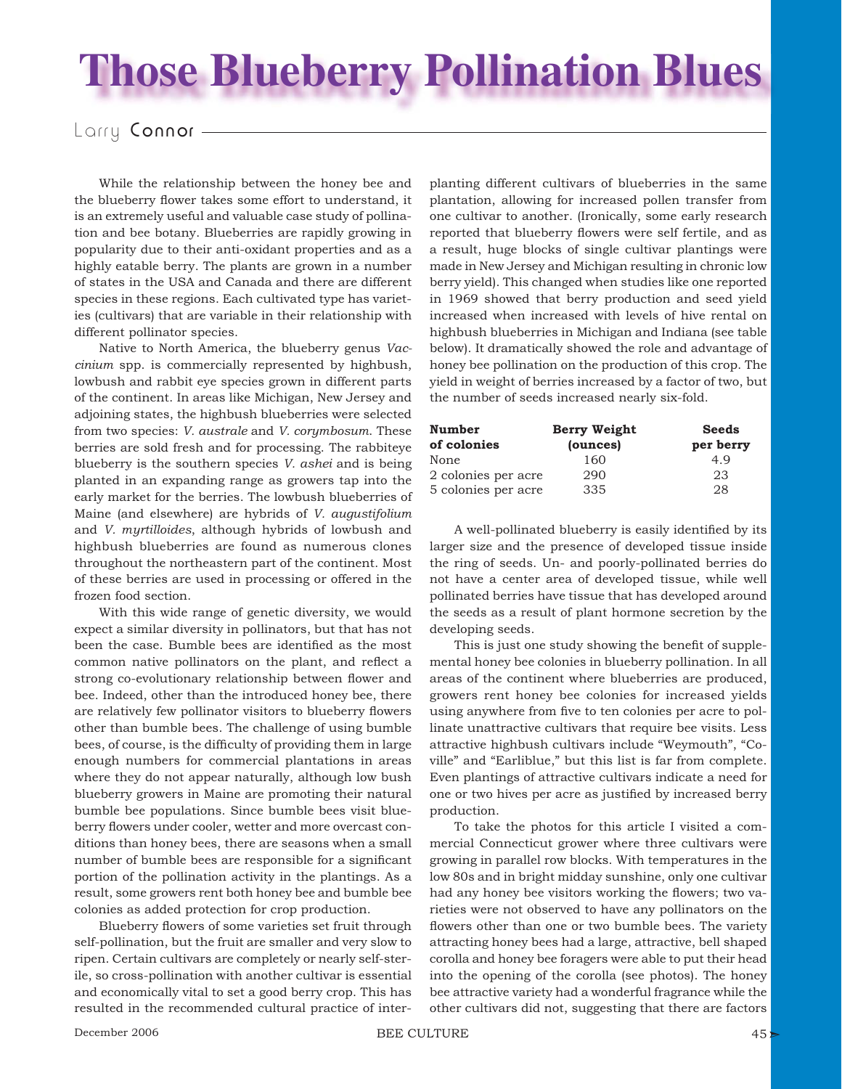## **Those Blueberry Pollination Blues**

## Larry Connor -

While the relationship between the honey bee and the blueberry flower takes some effort to understand, it is an extremely useful and valuable case study of pollination and bee botany. Blueberries are rapidly growing in popularity due to their anti-oxidant properties and as a highly eatable berry. The plants are grown in a number of states in the USA and Canada and there are different species in these regions. Each cultivated type has varieties (cultivars) that are variable in their relationship with different pollinator species.

Native to North America, the blueberry genus *Vaccinium* spp. is commercially represented by highbush, lowbush and rabbit eye species grown in different parts of the continent. In areas like Michigan, New Jersey and adjoining states, the highbush blueberries were selected from two species: *V. australe* and *V. corymbosum*. These berries are sold fresh and for processing. The rabbiteye blueberry is the southern species *V. ashei* and is being planted in an expanding range as growers tap into the early market for the berries. The lowbush blueberries of Maine (and elsewhere) are hybrids of *V. augustifolium* and *V. myrtilloides*, although hybrids of lowbush and highbush blueberries are found as numerous clones throughout the northeastern part of the continent. Most of these berries are used in processing or offered in the frozen food section.

With this wide range of genetic diversity, we would expect a similar diversity in pollinators, but that has not been the case. Bumble bees are identified as the most common native pollinators on the plant, and reflect a strong co-evolutionary relationship between flower and bee. Indeed, other than the introduced honey bee, there are relatively few pollinator visitors to blueberry flowers other than bumble bees. The challenge of using bumble bees, of course, is the difficulty of providing them in large enough numbers for commercial plantations in areas where they do not appear naturally, although low bush blueberry growers in Maine are promoting their natural bumble bee populations. Since bumble bees visit blueberry flowers under cooler, wetter and more overcast conditions than honey bees, there are seasons when a small number of bumble bees are responsible for a significant portion of the pollination activity in the plantings. As a result, some growers rent both honey bee and bumble bee colonies as added protection for crop production.

Blueberry flowers of some varieties set fruit through self-pollination, but the fruit are smaller and very slow to ripen. Certain cultivars are completely or nearly self-sterile, so cross-pollination with another cultivar is essential and economically vital to set a good berry crop. This has resulted in the recommended cultural practice of interplanting different cultivars of blueberries in the same plantation, allowing for increased pollen transfer from one cultivar to another. (Ironically, some early research reported that blueberry flowers were self fertile, and as a result, huge blocks of single cultivar plantings were made in New Jersey and Michigan resulting in chronic low berry yield). This changed when studies like one reported in 1969 showed that berry production and seed yield increased when increased with levels of hive rental on highbush blueberries in Michigan and Indiana (see table below). It dramatically showed the role and advantage of honey bee pollination on the production of this crop. The yield in weight of berries increased by a factor of two, but the number of seeds increased nearly six-fold.

| <b>Number</b>       | Berry Weight | <b>Seeds</b> |
|---------------------|--------------|--------------|
| of colonies         | (ounces)     | per berry    |
| None                | 160          | 4.9          |
| 2 colonies per acre | 290          | 23           |
| 5 colonies per acre | 335          | 28           |

A well-pollinated blueberry is easily identified by its larger size and the presence of developed tissue inside the ring of seeds. Un- and poorly-pollinated berries do not have a center area of developed tissue, while well pollinated berries have tissue that has developed around the seeds as a result of plant hormone secretion by the developing seeds.

This is just one study showing the benefit of supplemental honey bee colonies in blueberry pollination. In all areas of the continent where blueberries are produced, growers rent honey bee colonies for increased yields using anywhere from five to ten colonies per acre to pollinate unattractive cultivars that require bee visits. Less attractive highbush cultivars include "Weymouth", "Coville" and "Earliblue," but this list is far from complete. Even plantings of attractive cultivars indicate a need for one or two hives per acre as justified by increased berry production.

To take the photos for this article I visited a commercial Connecticut grower where three cultivars were growing in parallel row blocks. With temperatures in the low 80s and in bright midday sunshine, only one cultivar had any honey bee visitors working the flowers; two varieties were not observed to have any pollinators on the flowers other than one or two bumble bees. The variety attracting honey bees had a large, attractive, bell shaped corolla and honey bee foragers were able to put their head into the opening of the corolla (see photos). The honey bee attractive variety had a wonderful fragrance while the other cultivars did not, suggesting that there are factors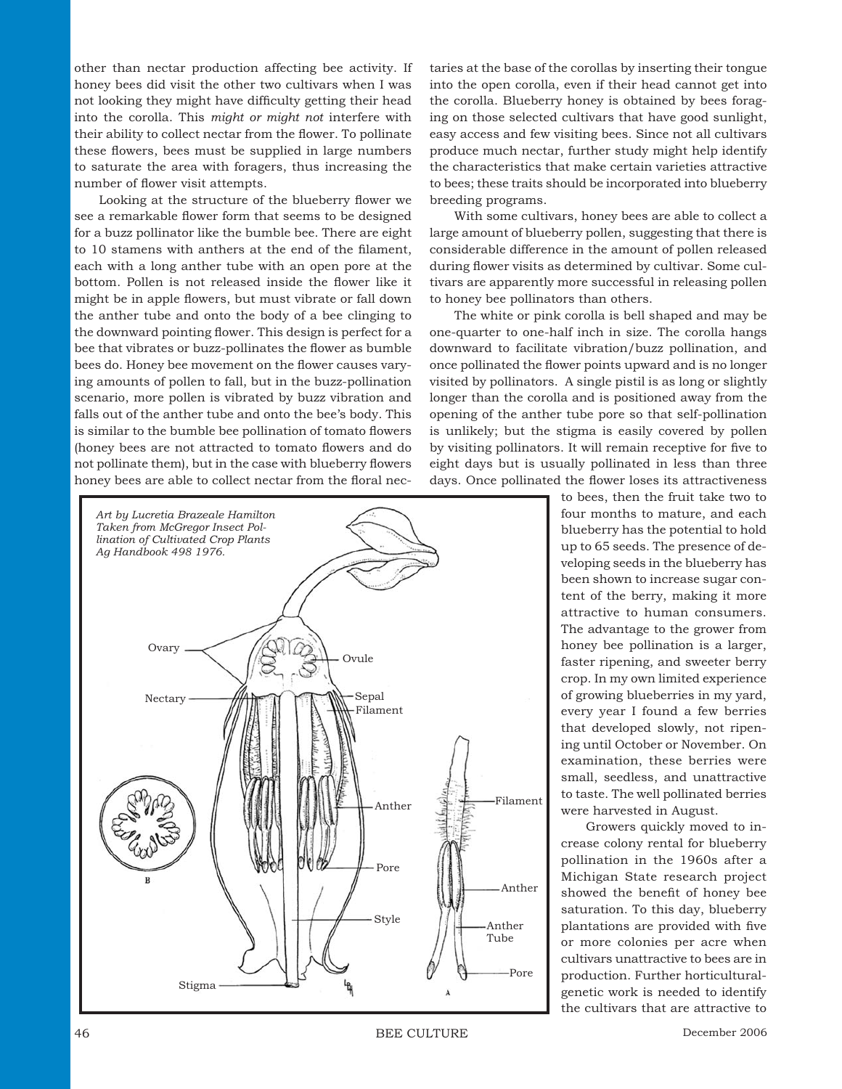other than nectar production affecting bee activity. If honey bees did visit the other two cultivars when I was not looking they might have difficulty getting their head into the corolla. This *might or might not* interfere with their ability to collect nectar from the flower. To pollinate these flowers, bees must be supplied in large numbers to saturate the area with foragers, thus increasing the number of flower visit attempts.

Looking at the structure of the blueberry flower we see a remarkable flower form that seems to be designed for a buzz pollinator like the bumble bee. There are eight to 10 stamens with anthers at the end of the filament, each with a long anther tube with an open pore at the bottom. Pollen is not released inside the flower like it might be in apple flowers, but must vibrate or fall down the anther tube and onto the body of a bee clinging to the downward pointing flower. This design is perfect for a bee that vibrates or buzz-pollinates the flower as bumble bees do. Honey bee movement on the flower causes varying amounts of pollen to fall, but in the buzz-pollination scenario, more pollen is vibrated by buzz vibration and falls out of the anther tube and onto the bee's body. This is similar to the bumble bee pollination of tomato flowers (honey bees are not attracted to tomato flowers and do not pollinate them), but in the case with blueberry flowers honey bees are able to collect nectar from the floral nec-



taries at the base of the corollas by inserting their tongue into the open corolla, even if their head cannot get into the corolla. Blueberry honey is obtained by bees foraging on those selected cultivars that have good sunlight, easy access and few visiting bees. Since not all cultivars produce much nectar, further study might help identify the characteristics that make certain varieties attractive to bees; these traits should be incorporated into blueberry breeding programs.

With some cultivars, honey bees are able to collect a large amount of blueberry pollen, suggesting that there is considerable difference in the amount of pollen released during flower visits as determined by cultivar. Some cultivars are apparently more successful in releasing pollen to honey bee pollinators than others.

The white or pink corolla is bell shaped and may be one-quarter to one-half inch in size. The corolla hangs downward to facilitate vibration/buzz pollination, and once pollinated the flower points upward and is no longer visited by pollinators. A single pistil is as long or slightly longer than the corolla and is positioned away from the opening of the anther tube pore so that self-pollination is unlikely; but the stigma is easily covered by pollen by visiting pollinators. It will remain receptive for five to eight days but is usually pollinated in less than three days. Once pollinated the flower loses its attractiveness

> to bees, then the fruit take two to four months to mature, and each blueberry has the potential to hold up to 65 seeds. The presence of developing seeds in the blueberry has been shown to increase sugar content of the berry, making it more attractive to human consumers. The advantage to the grower from honey bee pollination is a larger, faster ripening, and sweeter berry crop. In my own limited experience of growing blueberries in my yard, every year I found a few berries that developed slowly, not ripening until October or November. On examination, these berries were small, seedless, and unattractive to taste. The well pollinated berries were harvested in August.

> Growers quickly moved to increase colony rental for blueberry pollination in the 1960s after a Michigan State research project showed the benefit of honey bee saturation. To this day, blueberry plantations are provided with five or more colonies per acre when cultivars unattractive to bees are in production. Further horticulturalgenetic work is needed to identify the cultivars that are attractive to